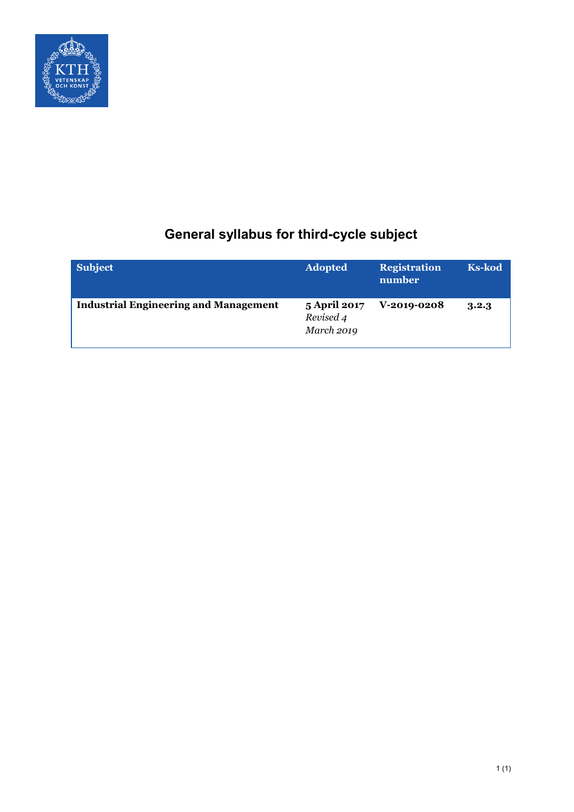

# **General syllabus for third-cycle subject**

| <b>Subject</b>                               | <b>Adopted</b>                                        | <b>Registration</b><br>number | <b>Ks-kod</b> |
|----------------------------------------------|-------------------------------------------------------|-------------------------------|---------------|
| <b>Industrial Engineering and Management</b> | <b>5 April 2017</b><br>Revised 4<br><b>March 2019</b> | <b>V-2019-0208</b>            | 3.2.3         |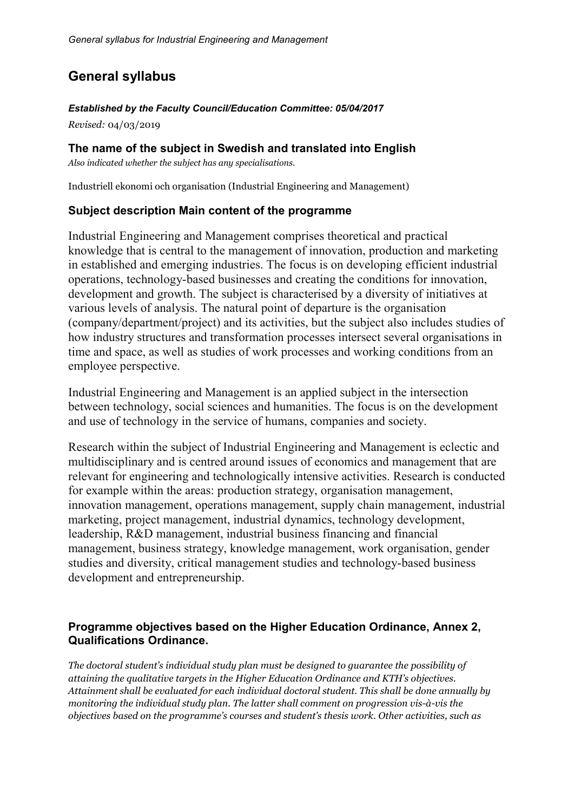## **General syllabus**

#### *Established by the Faculty Council/Education Committee: 05/04/2017*

*Revised:* 04/03/2019

## **The name of the subject in Swedish and translated into English**

*Also indicated whether the subject has any specialisations.*

Industriell ekonomi och organisation (Industrial Engineering and Management)

## **Subject description Main content of the programme**

Industrial Engineering and Management comprises theoretical and practical knowledge that is central to the management of innovation, production and marketing in established and emerging industries. The focus is on developing efficient industrial operations, technology-based businesses and creating the conditions for innovation, development and growth. The subject is characterised by a diversity of initiatives at various levels of analysis. The natural point of departure is the organisation (company/department/project) and its activities, but the subject also includes studies of how industry structures and transformation processes intersect several organisations in time and space, as well as studies of work processes and working conditions from an employee perspective.

Industrial Engineering and Management is an applied subject in the intersection between technology, social sciences and humanities. The focus is on the development and use of technology in the service of humans, companies and society.

Research within the subject of Industrial Engineering and Management is eclectic and multidisciplinary and is centred around issues of economics and management that are relevant for engineering and technologically intensive activities. Research is conducted for example within the areas: production strategy, organisation management, innovation management, operations management, supply chain management, industrial marketing, project management, industrial dynamics, technology development, leadership, R&D management, industrial business financing and financial management, business strategy, knowledge management, work organisation, gender studies and diversity, critical management studies and technology-based business development and entrepreneurship.

## **Programme objectives based on the Higher Education Ordinance, Annex 2, Qualifications Ordinance.**

*The doctoral student's individual study plan must be designed to guarantee the possibility of attaining the qualitative targets in the Higher Education Ordinance and KTH's objectives. Attainment shall be evaluated for each individual doctoral student. This shall be done annually by monitoring the individual study plan. The latter shall comment on progression vis-à-vis the objectives based on the programme's courses and student's thesis work. Other activities, such as*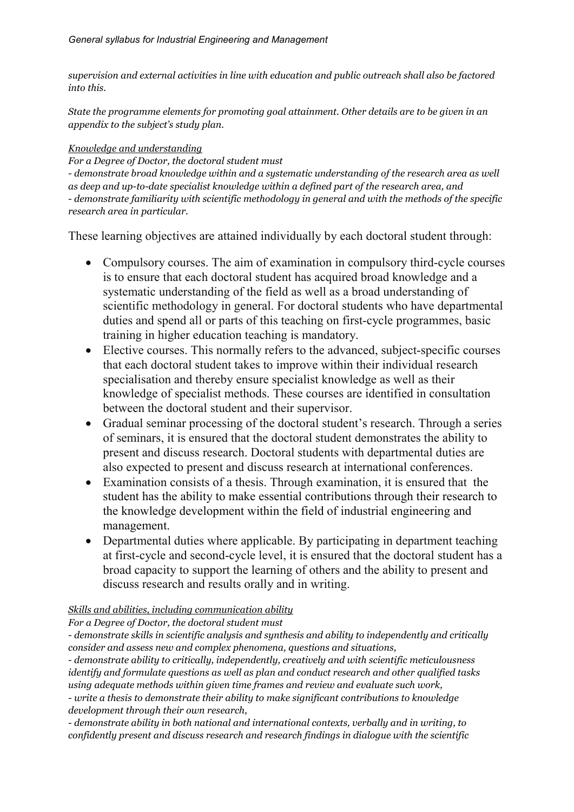*supervision and external activities in line with education and public outreach shall also be factored into this.*

*State the programme elements for promoting goal attainment. Other details are to be given in an appendix to the subject's study plan.*

#### *Knowledge and understanding*

*For a Degree of Doctor, the doctoral student must*

*- demonstrate broad knowledge within and a systematic understanding of the research area as well as deep and up-to-date specialist knowledge within a defined part of the research area, and - demonstrate familiarity with scientific methodology in general and with the methods of the specific research area in particular.*

These learning objectives are attained individually by each doctoral student through:

- Compulsory courses. The aim of examination in compulsory third-cycle courses is to ensure that each doctoral student has acquired broad knowledge and a systematic understanding of the field as well as a broad understanding of scientific methodology in general. For doctoral students who have departmental duties and spend all or parts of this teaching on first-cycle programmes, basic training in higher education teaching is mandatory.
- Elective courses. This normally refers to the advanced, subject-specific courses that each doctoral student takes to improve within their individual research specialisation and thereby ensure specialist knowledge as well as their knowledge of specialist methods. These courses are identified in consultation between the doctoral student and their supervisor.
- Gradual seminar processing of the doctoral student's research. Through a series of seminars, it is ensured that the doctoral student demonstrates the ability to present and discuss research. Doctoral students with departmental duties are also expected to present and discuss research at international conferences.
- Examination consists of a thesis. Through examination, it is ensured that the student has the ability to make essential contributions through their research to the knowledge development within the field of industrial engineering and management.
- Departmental duties where applicable. By participating in department teaching at first-cycle and second-cycle level, it is ensured that the doctoral student has a broad capacity to support the learning of others and the ability to present and discuss research and results orally and in writing.

## *Skills and abilities, including communication ability*

*For a Degree of Doctor, the doctoral student must*

*- demonstrate skills in scientific analysis and synthesis and ability to independently and critically consider and assess new and complex phenomena, questions and situations,*

*- demonstrate ability to critically, independently, creatively and with scientific meticulousness identify and formulate questions as well as plan and conduct research and other qualified tasks using adequate methods within given time frames and review and evaluate such work,*

*- write a thesis to demonstrate their ability to make significant contributions to knowledge development through their own research*,

*- demonstrate ability in both national and international contexts, verbally and in writing, to confidently present and discuss research and research findings in dialogue with the scientific*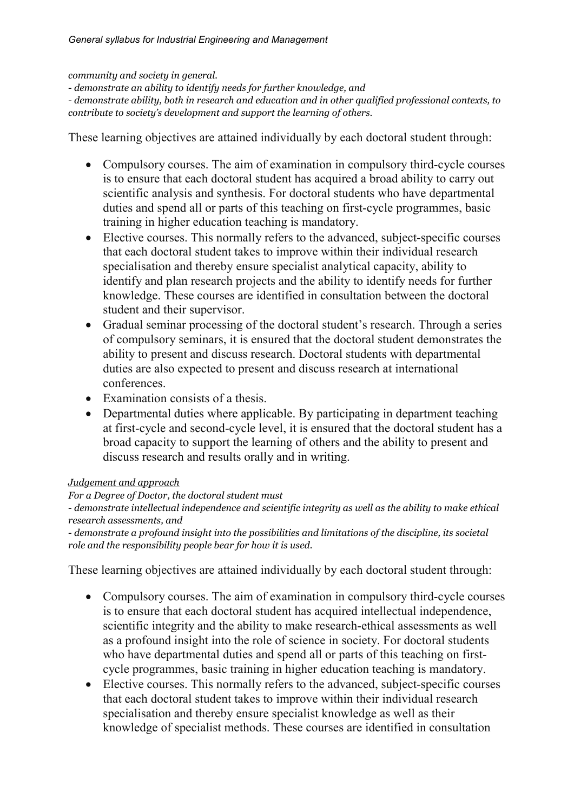#### *community and society in general.*

*- demonstrate an ability to identify needs for further knowledge, and*

*- demonstrate ability, both in research and education and in other qualified professional contexts, to contribute to society's development and support the learning of others*.

These learning objectives are attained individually by each doctoral student through:

- Compulsory courses. The aim of examination in compulsory third-cycle courses is to ensure that each doctoral student has acquired a broad ability to carry out scientific analysis and synthesis. For doctoral students who have departmental duties and spend all or parts of this teaching on first-cycle programmes, basic training in higher education teaching is mandatory.
- Elective courses. This normally refers to the advanced, subject-specific courses that each doctoral student takes to improve within their individual research specialisation and thereby ensure specialist analytical capacity, ability to identify and plan research projects and the ability to identify needs for further knowledge. These courses are identified in consultation between the doctoral student and their supervisor.
- Gradual seminar processing of the doctoral student's research. Through a series of compulsory seminars, it is ensured that the doctoral student demonstrates the ability to present and discuss research. Doctoral students with departmental duties are also expected to present and discuss research at international conferences.
- Examination consists of a thesis.
- Departmental duties where applicable. By participating in department teaching at first-cycle and second-cycle level, it is ensured that the doctoral student has a broad capacity to support the learning of others and the ability to present and discuss research and results orally and in writing.

#### *Judgement and approach*

#### *For a Degree of Doctor, the doctoral student must*

*- demonstrate intellectual independence and scientific integrity as well as the ability to make ethical research assessments, and*

*- demonstrate a profound insight into the possibilities and limitations of the discipline, its societal role and the responsibility people bear for how it is used.*

These learning objectives are attained individually by each doctoral student through:

- Compulsory courses. The aim of examination in compulsory third-cycle courses is to ensure that each doctoral student has acquired intellectual independence, scientific integrity and the ability to make research-ethical assessments as well as a profound insight into the role of science in society. For doctoral students who have departmental duties and spend all or parts of this teaching on firstcycle programmes, basic training in higher education teaching is mandatory.
- Elective courses. This normally refers to the advanced, subject-specific courses that each doctoral student takes to improve within their individual research specialisation and thereby ensure specialist knowledge as well as their knowledge of specialist methods. These courses are identified in consultation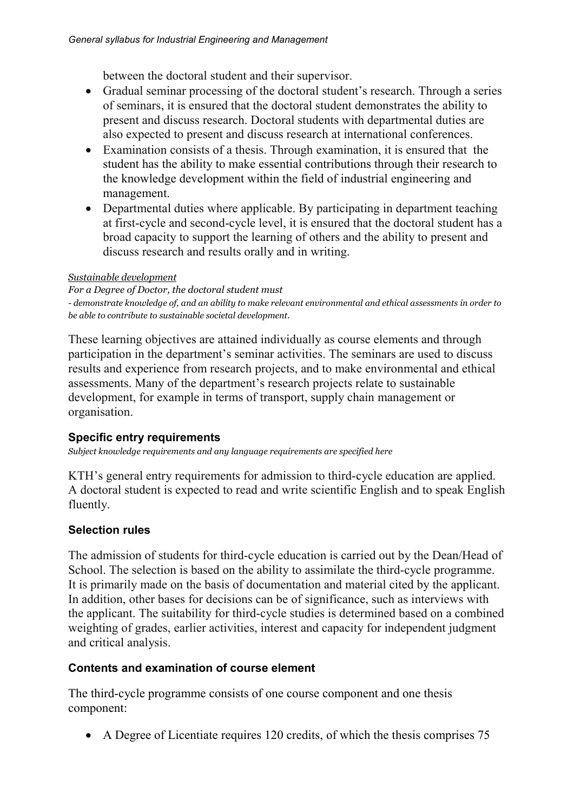between the doctoral student and their supervisor.

- Gradual seminar processing of the doctoral student's research. Through a series of seminars, it is ensured that the doctoral student demonstrates the ability to present and discuss research. Doctoral students with departmental duties are also expected to present and discuss research at international conferences.
- Examination consists of a thesis. Through examination, it is ensured that the student has the ability to make essential contributions through their research to the knowledge development within the field of industrial engineering and management.
- Departmental duties where applicable. By participating in department teaching at first-cycle and second-cycle level, it is ensured that the doctoral student has a broad capacity to support the learning of others and the ability to present and discuss research and results orally and in writing.

#### *Sustainable development*

*For a Degree of Doctor, the doctoral student must - demonstrate knowledge of, and an ability to make relevant environmental and ethical assessments in order to be able to contribute to sustainable societal development.*

These learning objectives are attained individually as course elements and through participation in the department's seminar activities. The seminars are used to discuss results and experience from research projects, and to make environmental and ethical assessments. Many of the department's research projects relate to sustainable development, for example in terms of transport, supply chain management or organisation.

## **Specific entry requirements**

*Subject knowledge requirements and any language requirements are specified here*

KTH's general entry requirements for admission to third-cycle education are applied. A doctoral student is expected to read and write scientific English and to speak English fluently.

## **Selection rules**

The admission of students for third-cycle education is carried out by the Dean/Head of School. The selection is based on the ability to assimilate the third-cycle programme. It is primarily made on the basis of documentation and material cited by the applicant. In addition, other bases for decisions can be of significance, such as interviews with the applicant. The suitability for third-cycle studies is determined based on a combined weighting of grades, earlier activities, interest and capacity for independent judgment and critical analysis.

## **Contents and examination of course element**

The third-cycle programme consists of one course component and one thesis component:

• A Degree of Licentiate requires 120 credits, of which the thesis comprises 75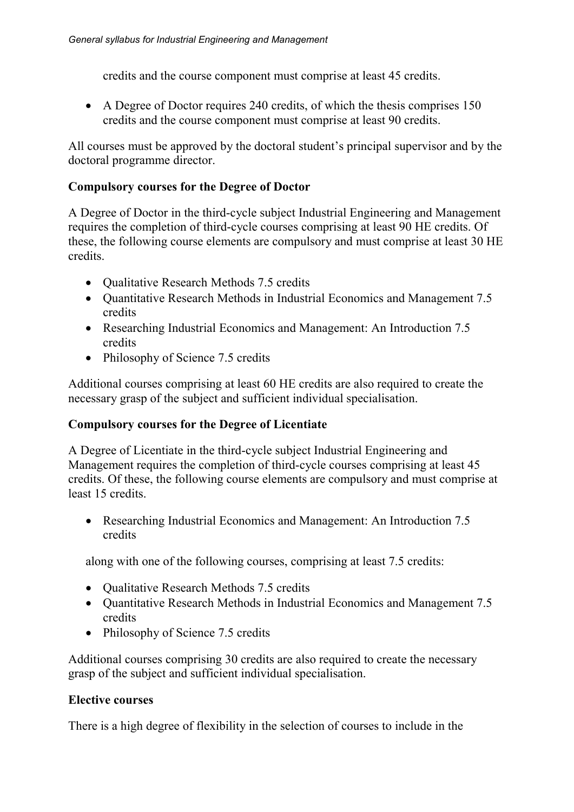credits and the course component must comprise at least 45 credits.

• A Degree of Doctor requires 240 credits, of which the thesis comprises 150 credits and the course component must comprise at least 90 credits.

All courses must be approved by the doctoral student's principal supervisor and by the doctoral programme director.

## **Compulsory courses for the Degree of Doctor**

A Degree of Doctor in the third-cycle subject Industrial Engineering and Management requires the completion of third-cycle courses comprising at least 90 HE credits. Of these, the following course elements are compulsory and must comprise at least 30 HE credits.

- Oualitative Research Methods 7.5 credits
- Quantitative Research Methods in Industrial Economics and Management 7.5 credits
- Researching Industrial Economics and Management: An Introduction 7.5 credits
- Philosophy of Science 7.5 credits

Additional courses comprising at least 60 HE credits are also required to create the necessary grasp of the subject and sufficient individual specialisation.

## **Compulsory courses for the Degree of Licentiate**

A Degree of Licentiate in the third-cycle subject Industrial Engineering and Management requires the completion of third-cycle courses comprising at least 45 credits. Of these, the following course elements are compulsory and must comprise at least 15 credits.

• Researching Industrial Economics and Management: An Introduction 7.5 credits

along with one of the following courses, comprising at least 7.5 credits:

- Oualitative Research Methods 7.5 credits
- Ouantitative Research Methods in Industrial Economics and Management 7.5 credits
- Philosophy of Science 7.5 credits

Additional courses comprising 30 credits are also required to create the necessary grasp of the subject and sufficient individual specialisation.

## **Elective courses**

There is a high degree of flexibility in the selection of courses to include in the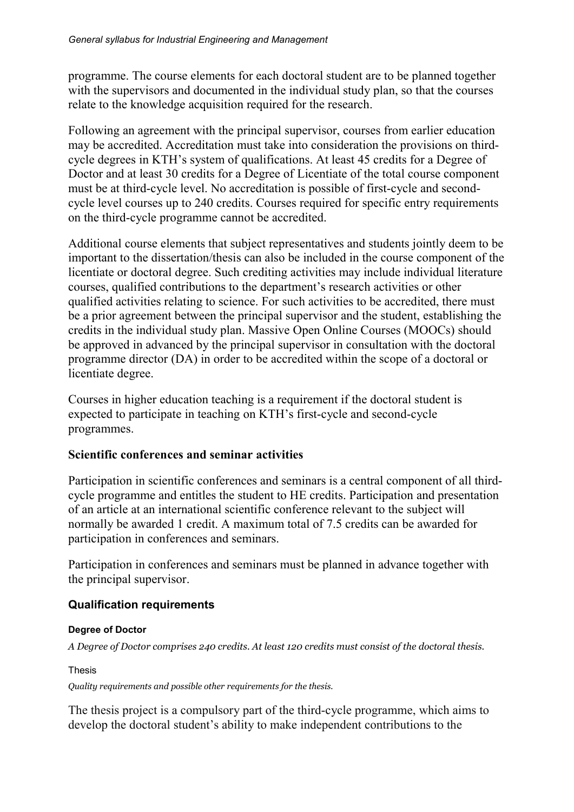programme. The course elements for each doctoral student are to be planned together with the supervisors and documented in the individual study plan, so that the courses relate to the knowledge acquisition required for the research.

Following an agreement with the principal supervisor, courses from earlier education may be accredited. Accreditation must take into consideration the provisions on thirdcycle degrees in KTH's system of qualifications. At least 45 credits for a Degree of Doctor and at least 30 credits for a Degree of Licentiate of the total course component must be at third-cycle level. No accreditation is possible of first-cycle and secondcycle level courses up to 240 credits. Courses required for specific entry requirements on the third-cycle programme cannot be accredited.

Additional course elements that subject representatives and students jointly deem to be important to the dissertation/thesis can also be included in the course component of the licentiate or doctoral degree. Such crediting activities may include individual literature courses, qualified contributions to the department's research activities or other qualified activities relating to science. For such activities to be accredited, there must be a prior agreement between the principal supervisor and the student, establishing the credits in the individual study plan. Massive Open Online Courses (MOOCs) should be approved in advanced by the principal supervisor in consultation with the doctoral programme director (DA) in order to be accredited within the scope of a doctoral or licentiate degree.

Courses in higher education teaching is a requirement if the doctoral student is expected to participate in teaching on KTH's first-cycle and second-cycle programmes.

## **Scientific conferences and seminar activities**

Participation in scientific conferences and seminars is a central component of all thirdcycle programme and entitles the student to HE credits. Participation and presentation of an article at an international scientific conference relevant to the subject will normally be awarded 1 credit. A maximum total of 7.5 credits can be awarded for participation in conferences and seminars.

Participation in conferences and seminars must be planned in advance together with the principal supervisor.

## **Qualification requirements**

## **Degree of Doctor**

*A Degree of Doctor comprises 240 credits. At least 120 credits must consist of the doctoral thesis.*

Thesis

*Quality requirements and possible other requirements for the thesis.*

The thesis project is a compulsory part of the third-cycle programme, which aims to develop the doctoral student's ability to make independent contributions to the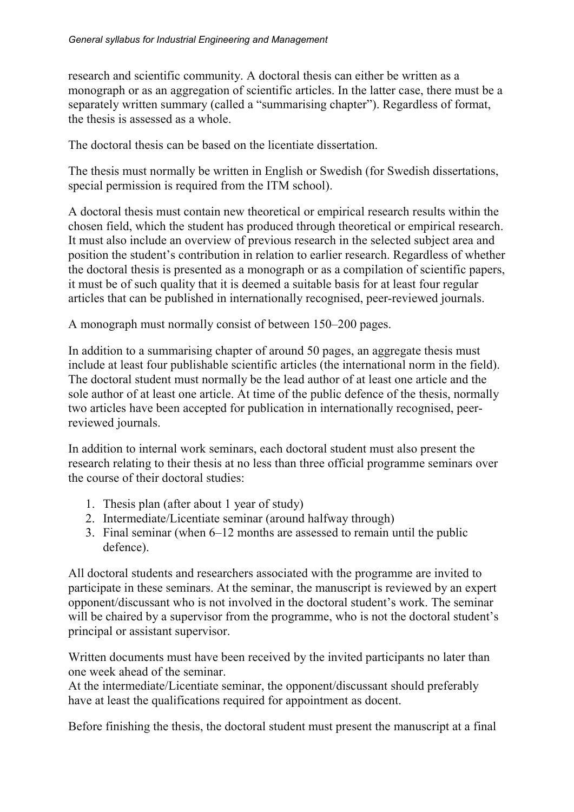research and scientific community. A doctoral thesis can either be written as a monograph or as an aggregation of scientific articles. In the latter case, there must be a separately written summary (called a "summarising chapter"). Regardless of format, the thesis is assessed as a whole.

The doctoral thesis can be based on the licentiate dissertation.

The thesis must normally be written in English or Swedish (for Swedish dissertations, special permission is required from the ITM school).

A doctoral thesis must contain new theoretical or empirical research results within the chosen field, which the student has produced through theoretical or empirical research. It must also include an overview of previous research in the selected subject area and position the student's contribution in relation to earlier research. Regardless of whether the doctoral thesis is presented as a monograph or as a compilation of scientific papers, it must be of such quality that it is deemed a suitable basis for at least four regular articles that can be published in internationally recognised, peer-reviewed journals.

A monograph must normally consist of between 150–200 pages.

In addition to a summarising chapter of around 50 pages, an aggregate thesis must include at least four publishable scientific articles (the international norm in the field). The doctoral student must normally be the lead author of at least one article and the sole author of at least one article. At time of the public defence of the thesis, normally two articles have been accepted for publication in internationally recognised, peerreviewed journals.

In addition to internal work seminars, each doctoral student must also present the research relating to their thesis at no less than three official programme seminars over the course of their doctoral studies:

- 1. Thesis plan (after about 1 year of study)
- 2. Intermediate/Licentiate seminar (around halfway through)
- 3. Final seminar (when 6–12 months are assessed to remain until the public defence).

All doctoral students and researchers associated with the programme are invited to participate in these seminars. At the seminar, the manuscript is reviewed by an expert opponent/discussant who is not involved in the doctoral student's work. The seminar will be chaired by a supervisor from the programme, who is not the doctoral student's principal or assistant supervisor.

Written documents must have been received by the invited participants no later than one week ahead of the seminar.

At the intermediate/Licentiate seminar, the opponent/discussant should preferably have at least the qualifications required for appointment as docent.

Before finishing the thesis, the doctoral student must present the manuscript at a final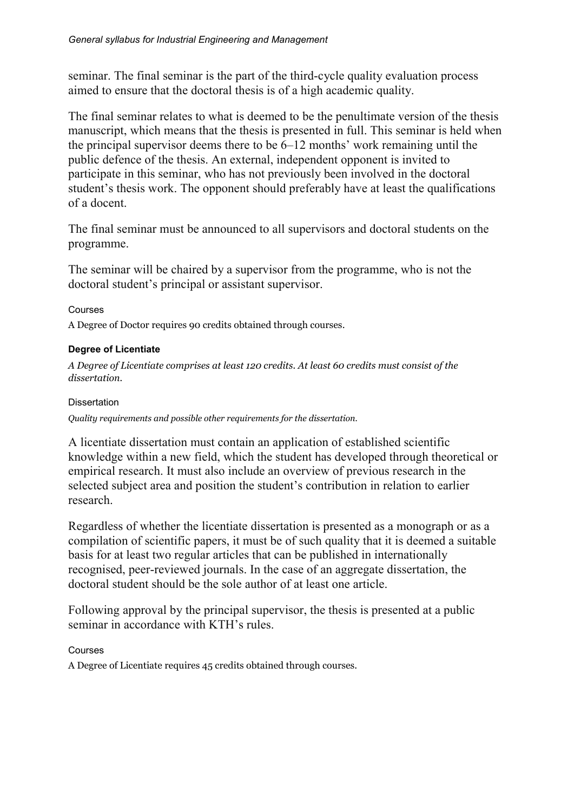seminar. The final seminar is the part of the third-cycle quality evaluation process aimed to ensure that the doctoral thesis is of a high academic quality.

The final seminar relates to what is deemed to be the penultimate version of the thesis manuscript, which means that the thesis is presented in full. This seminar is held when the principal supervisor deems there to be 6–12 months' work remaining until the public defence of the thesis. An external, independent opponent is invited to participate in this seminar, who has not previously been involved in the doctoral student's thesis work. The opponent should preferably have at least the qualifications of a docent.

The final seminar must be announced to all supervisors and doctoral students on the programme.

The seminar will be chaired by a supervisor from the programme, who is not the doctoral student's principal or assistant supervisor.

#### Courses

A Degree of Doctor requires 90 credits obtained through courses.

#### **Degree of Licentiate**

*A Degree of Licentiate comprises at least 120 credits. At least 60 credits must consist of the dissertation.*

#### **Dissertation**

*Quality requirements and possible other requirements for the dissertation.*

A licentiate dissertation must contain an application of established scientific knowledge within a new field, which the student has developed through theoretical or empirical research. It must also include an overview of previous research in the selected subject area and position the student's contribution in relation to earlier research.

Regardless of whether the licentiate dissertation is presented as a monograph or as a compilation of scientific papers, it must be of such quality that it is deemed a suitable basis for at least two regular articles that can be published in internationally recognised, peer-reviewed journals. In the case of an aggregate dissertation, the doctoral student should be the sole author of at least one article.

Following approval by the principal supervisor, the thesis is presented at a public seminar in accordance with KTH's rules.

#### Courses

A Degree of Licentiate requires 45 credits obtained through courses.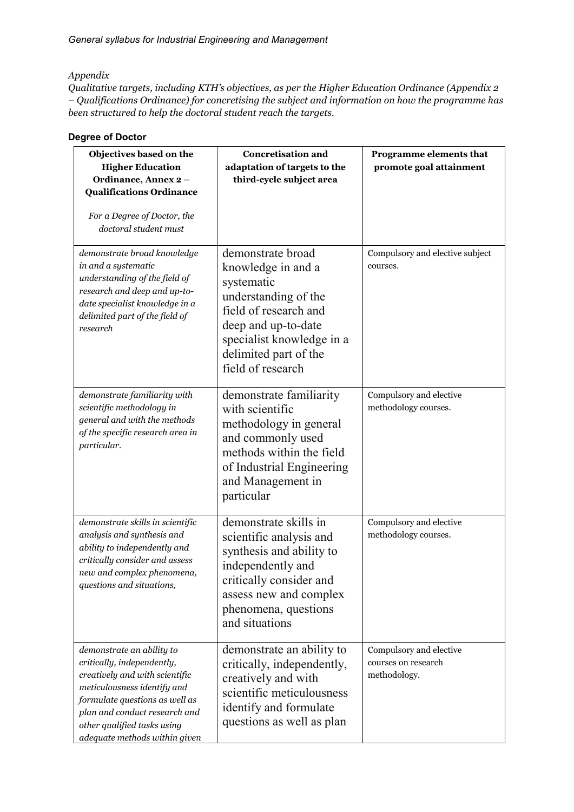#### *Appendix*

*Qualitative targets, including KTH's objectives, as per the Higher Education Ordinance (Appendix 2 – Qualifications Ordinance) for concretising the subject and information on how the programme has been structured to help the doctoral student reach the targets.* 

#### **Degree of Doctor**

| Objectives based on the<br><b>Higher Education</b><br>Ordinance, Annex 2-<br><b>Qualifications Ordinance</b><br>For a Degree of Doctor, the<br>doctoral student must                                                                                        | <b>Concretisation and</b><br>adaptation of targets to the<br>third-cycle subject area                                                                                                                    | Programme elements that<br>promote goal attainment             |
|-------------------------------------------------------------------------------------------------------------------------------------------------------------------------------------------------------------------------------------------------------------|----------------------------------------------------------------------------------------------------------------------------------------------------------------------------------------------------------|----------------------------------------------------------------|
| demonstrate broad knowledge<br>in and a systematic<br>understanding of the field of<br>research and deep and up-to-<br>date specialist knowledge in a<br>delimited part of the field of<br>research                                                         | demonstrate broad<br>knowledge in and a<br>systematic<br>understanding of the<br>field of research and<br>deep and up-to-date<br>specialist knowledge in a<br>delimited part of the<br>field of research | Compulsory and elective subject<br>courses.                    |
| demonstrate familiarity with<br>scientific methodology in<br>general and with the methods<br>of the specific research area in<br>particular.                                                                                                                | demonstrate familiarity<br>with scientific<br>methodology in general<br>and commonly used<br>methods within the field<br>of Industrial Engineering<br>and Management in<br>particular                    | Compulsory and elective<br>methodology courses.                |
| demonstrate skills in scientific<br>analysis and synthesis and<br>ability to independently and<br>critically consider and assess<br>new and complex phenomena,<br>questions and situations,                                                                 | demonstrate skills in<br>scientific analysis and<br>synthesis and ability to<br>independently and<br>critically consider and<br>assess new and complex<br>phenomena, questions<br>and situations         | Compulsory and elective<br>methodology courses.                |
| demonstrate an ability to<br>critically, independently,<br>creatively and with scientific<br>meticulousness identify and<br>formulate questions as well as<br>plan and conduct research and<br>other qualified tasks using<br>adequate methods within given | demonstrate an ability to<br>critically, independently,<br>creatively and with<br>scientific meticulousness<br>identify and formulate<br>questions as well as plan                                       | Compulsory and elective<br>courses on research<br>methodology. |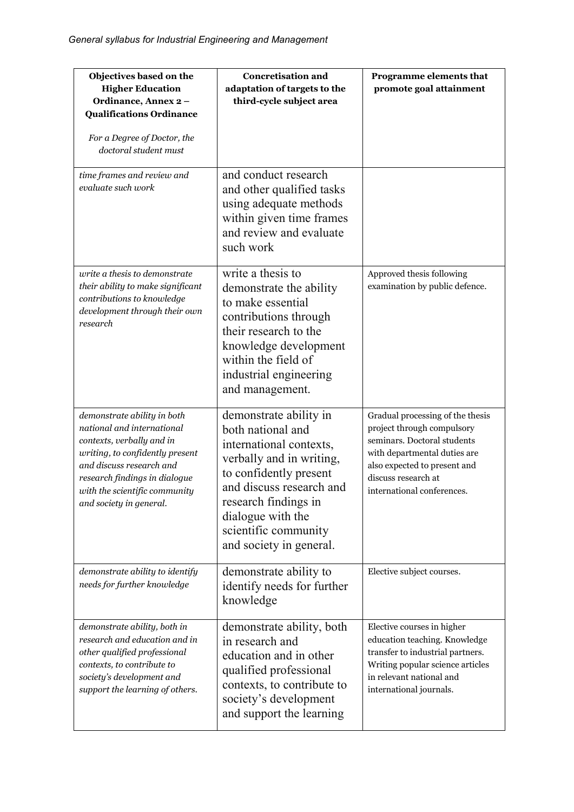| Objectives based on the<br><b>Higher Education</b><br>Ordinance, Annex 2-<br><b>Qualifications Ordinance</b><br>For a Degree of Doctor, the<br>doctoral student must                                                                               | <b>Concretisation and</b><br>adaptation of targets to the<br>third-cycle subject area                                                                                                                                                                    | Programme elements that<br>promote goal attainment                                                                                                                                                                 |
|----------------------------------------------------------------------------------------------------------------------------------------------------------------------------------------------------------------------------------------------------|----------------------------------------------------------------------------------------------------------------------------------------------------------------------------------------------------------------------------------------------------------|--------------------------------------------------------------------------------------------------------------------------------------------------------------------------------------------------------------------|
| time frames and review and<br>evaluate such work                                                                                                                                                                                                   | and conduct research<br>and other qualified tasks<br>using adequate methods<br>within given time frames<br>and review and evaluate<br>such work                                                                                                          |                                                                                                                                                                                                                    |
| write a thesis to demonstrate<br>their ability to make significant<br>contributions to knowledge<br>development through their own<br>research                                                                                                      | write a thesis to<br>demonstrate the ability<br>to make essential<br>contributions through<br>their research to the<br>knowledge development<br>within the field of<br>industrial engineering<br>and management.                                         | Approved thesis following<br>examination by public defence.                                                                                                                                                        |
| demonstrate ability in both<br>national and international<br>contexts, verbally and in<br>writing, to confidently present<br>and discuss research and<br>research findings in dialogue<br>with the scientific community<br>and society in general. | demonstrate ability in<br>both national and<br>international contexts,<br>verbally and in writing,<br>to confidently present<br>and discuss research and<br>research findings in<br>dialogue with the<br>scientific community<br>and society in general. | Gradual processing of the thesis<br>project through compulsory<br>seminars. Doctoral students<br>with departmental duties are<br>also expected to present and<br>discuss research at<br>international conferences. |
| demonstrate ability to identify<br>needs for further knowledge                                                                                                                                                                                     | demonstrate ability to<br>identify needs for further<br>knowledge                                                                                                                                                                                        | Elective subject courses.                                                                                                                                                                                          |
| demonstrate ability, both in<br>research and education and in<br>other qualified professional<br>contexts, to contribute to<br>society's development and<br>support the learning of others.                                                        | demonstrate ability, both<br>in research and<br>education and in other<br>qualified professional<br>contexts, to contribute to<br>society's development<br>and support the learning                                                                      | Elective courses in higher<br>education teaching. Knowledge<br>transfer to industrial partners.<br>Writing popular science articles<br>in relevant national and<br>international journals.                         |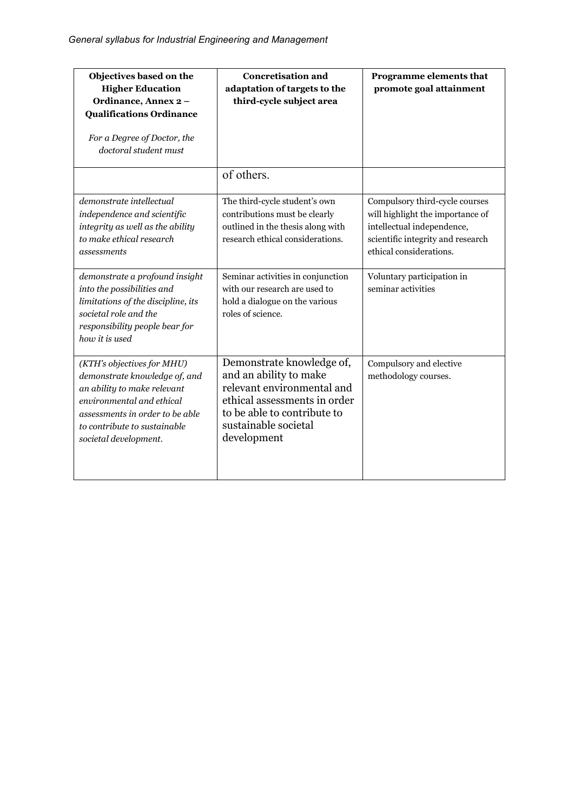| Objectives based on the<br><b>Higher Education</b><br>Ordinance, Annex 2-<br><b>Qualifications Ordinance</b><br>For a Degree of Doctor, the<br>doctoral student must                                                | <b>Concretisation and</b><br>adaptation of targets to the<br>third-cycle subject area                                                                                                   | Programme elements that<br>promote goal attainment                                                                                                               |
|---------------------------------------------------------------------------------------------------------------------------------------------------------------------------------------------------------------------|-----------------------------------------------------------------------------------------------------------------------------------------------------------------------------------------|------------------------------------------------------------------------------------------------------------------------------------------------------------------|
|                                                                                                                                                                                                                     | of others.                                                                                                                                                                              |                                                                                                                                                                  |
| demonstrate intellectual<br>independence and scientific<br>integrity as well as the ability<br>to make ethical research<br>assessments                                                                              | The third-cycle student's own<br>contributions must be clearly<br>outlined in the thesis along with<br>research ethical considerations.                                                 | Compulsory third-cycle courses<br>will highlight the importance of<br>intellectual independence,<br>scientific integrity and research<br>ethical considerations. |
| demonstrate a profound insight<br>into the possibilities and<br>limitations of the discipline, its<br>societal role and the<br>responsibility people bear for<br>how it is used                                     | Seminar activities in conjunction<br>with our research are used to<br>hold a dialogue on the various<br>roles of science.                                                               | Voluntary participation in<br>seminar activities                                                                                                                 |
| (KTH's objectives for MHU)<br>demonstrate knowledge of, and<br>an ability to make relevant<br>environmental and ethical<br>assessments in order to be able<br>to contribute to sustainable<br>societal development. | Demonstrate knowledge of,<br>and an ability to make<br>relevant environmental and<br>ethical assessments in order<br>to be able to contribute to<br>sustainable societal<br>development | Compulsory and elective<br>methodology courses.                                                                                                                  |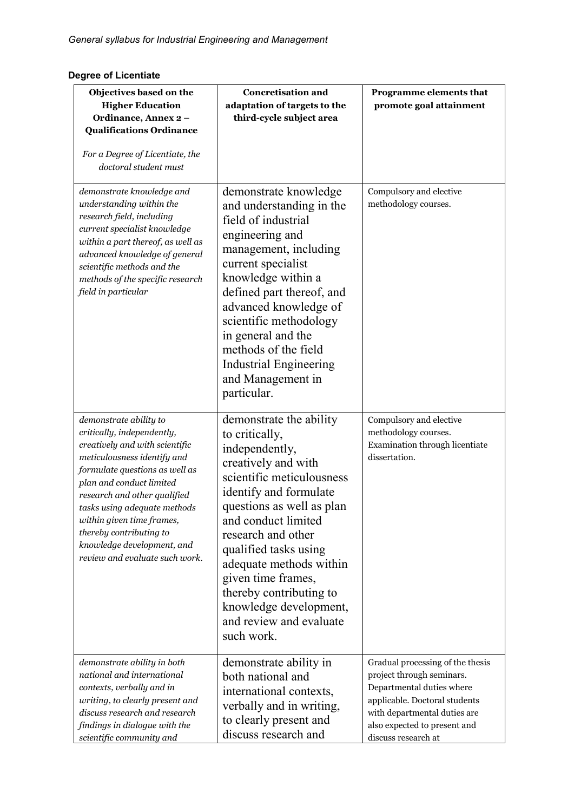## **Degree of Licentiate**

| Objectives based on the<br><b>Higher Education</b><br>Ordinance, Annex 2-<br><b>Qualifications Ordinance</b><br>For a Degree of Licentiate, the<br>doctoral student must                                                                                                                                                                                                    | <b>Concretisation and</b><br>adaptation of targets to the<br>third-cycle subject area                                                                                                                                                                                                                                                                                                       | Programme elements that<br>promote goal attainment                                                                                                                                                                 |
|-----------------------------------------------------------------------------------------------------------------------------------------------------------------------------------------------------------------------------------------------------------------------------------------------------------------------------------------------------------------------------|---------------------------------------------------------------------------------------------------------------------------------------------------------------------------------------------------------------------------------------------------------------------------------------------------------------------------------------------------------------------------------------------|--------------------------------------------------------------------------------------------------------------------------------------------------------------------------------------------------------------------|
| demonstrate knowledge and<br>understanding within the<br>research field, including<br>current specialist knowledge<br>within a part thereof, as well as<br>advanced knowledge of general<br>scientific methods and the<br>methods of the specific research<br>field in particular                                                                                           | demonstrate knowledge<br>and understanding in the<br>field of industrial<br>engineering and<br>management, including<br>current specialist<br>knowledge within a<br>defined part thereof, and<br>advanced knowledge of<br>scientific methodology<br>in general and the<br>methods of the field<br><b>Industrial Engineering</b><br>and Management in<br>particular.                         | Compulsory and elective<br>methodology courses.                                                                                                                                                                    |
| demonstrate ability to<br>critically, independently,<br>creatively and with scientific<br>meticulousness identify and<br>formulate questions as well as<br>plan and conduct limited<br>research and other qualified<br>tasks using adequate methods<br>within given time frames,<br>thereby contributing to<br>knowledge development, and<br>review and evaluate such work. | demonstrate the ability<br>to critically,<br>independently,<br>creatively and with<br>scientific meticulousness<br>identify and formulate<br>questions as well as plan<br>and conduct limited<br>research and other<br>qualified tasks using<br>adequate methods within<br>given time frames,<br>thereby contributing to<br>knowledge development,<br>and review and evaluate<br>such work. | Compulsory and elective<br>methodology courses.<br>Examination through licentiate<br>dissertation.                                                                                                                 |
| demonstrate ability in both<br>national and international<br>contexts, verbally and in<br>writing, to clearly present and<br>discuss research and research<br>findings in dialogue with the<br>scientific community and                                                                                                                                                     | demonstrate ability in<br>both national and<br>international contexts,<br>verbally and in writing,<br>to clearly present and<br>discuss research and                                                                                                                                                                                                                                        | Gradual processing of the thesis<br>project through seminars.<br>Departmental duties where<br>applicable. Doctoral students<br>with departmental duties are<br>also expected to present and<br>discuss research at |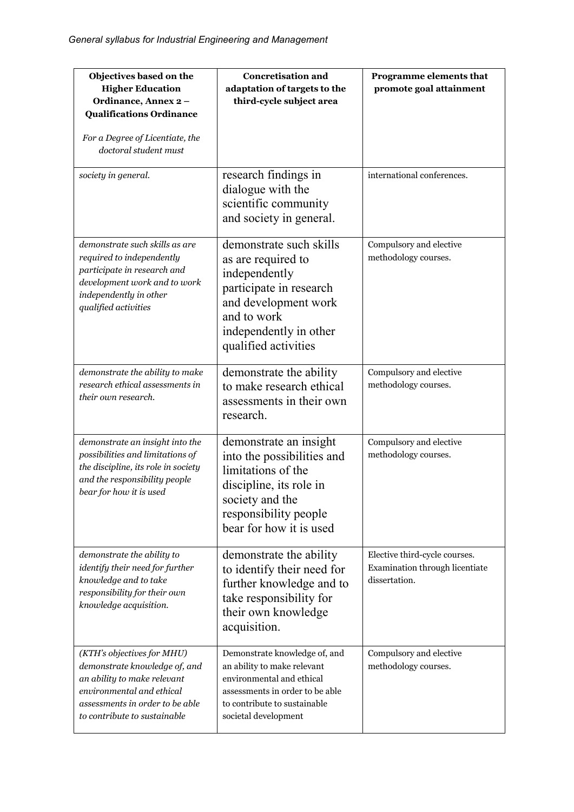| Objectives based on the<br><b>Higher Education</b><br>Ordinance, Annex 2-<br><b>Qualifications Ordinance</b><br>For a Degree of Licentiate, the<br>doctoral student must                   | <b>Concretisation and</b><br>adaptation of targets to the<br>third-cycle subject area                                                                                                | Programme elements that<br>promote goal attainment                               |
|--------------------------------------------------------------------------------------------------------------------------------------------------------------------------------------------|--------------------------------------------------------------------------------------------------------------------------------------------------------------------------------------|----------------------------------------------------------------------------------|
| society in general.                                                                                                                                                                        | research findings in<br>dialogue with the<br>scientific community<br>and society in general.                                                                                         | international conferences.                                                       |
| demonstrate such skills as are<br>required to independently<br>participate in research and<br>development work and to work<br>independently in other<br>qualified activities               | demonstrate such skills<br>as are required to<br>independently<br>participate in research<br>and development work<br>and to work<br>independently in other<br>qualified activities   | Compulsory and elective<br>methodology courses.                                  |
| demonstrate the ability to make<br>research ethical assessments in<br>their own research.                                                                                                  | demonstrate the ability<br>to make research ethical<br>assessments in their own<br>research.                                                                                         | Compulsory and elective<br>methodology courses.                                  |
| demonstrate an insight into the<br>possibilities and limitations of<br>the discipline, its role in society<br>and the responsibility people<br>bear for how it is used                     | demonstrate an insight<br>into the possibilities and<br>limitations of the<br>discipline, its role in<br>society and the<br>responsibility people<br>bear for how it is used         | Compulsory and elective<br>methodology courses.                                  |
| demonstrate the ability to<br>identify their need for further<br>knowledge and to take<br>responsibility for their own<br>knowledge acquisition.                                           | demonstrate the ability<br>to identify their need for<br>further knowledge and to<br>take responsibility for<br>their own knowledge<br>acquisition.                                  | Elective third-cycle courses.<br>Examination through licentiate<br>dissertation. |
| (KTH's objectives for MHU)<br>demonstrate knowledge of, and<br>an ability to make relevant<br>environmental and ethical<br>assessments in order to be able<br>to contribute to sustainable | Demonstrate knowledge of, and<br>an ability to make relevant<br>environmental and ethical<br>assessments in order to be able<br>to contribute to sustainable<br>societal development | Compulsory and elective<br>methodology courses.                                  |